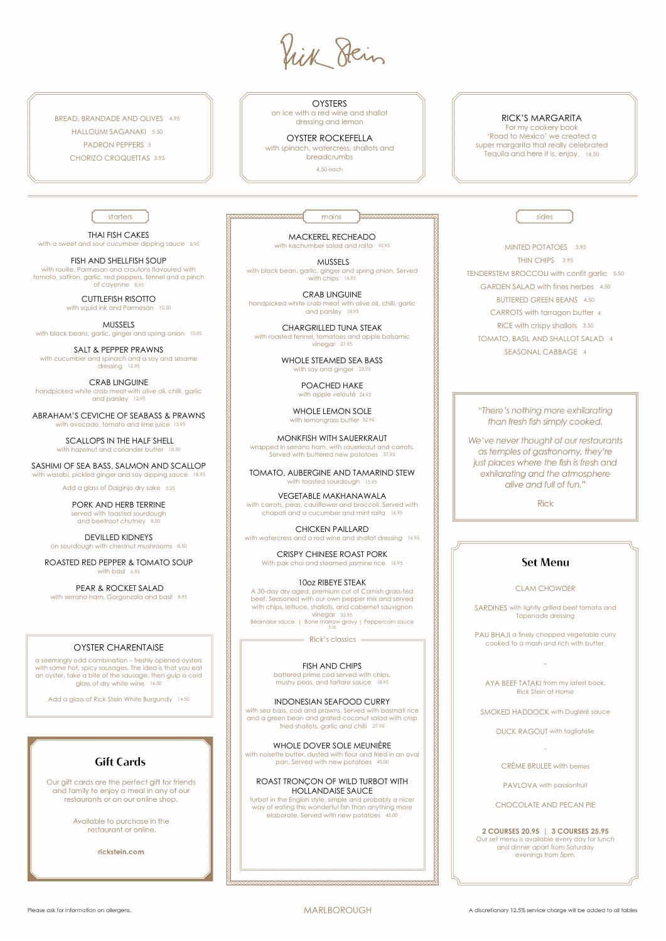ik Hein

BREAD, BRANDADE AND OLIVES 4.95 HALLOUMI SAGANAKI 5.50 PADRON PEPPERS 5 CHORIZO CROQUETTAS 3.95

**OYSTERS** 

For my cookery book 'Road to Mexico' we created a super margarita that really celebrated Tequila and here it is, enjoy. 14.50

sides

starters

on ice with a red wine and shallot dressing and lemon

OYSTER ROCKEFELLA

THAI FISH CAKES with a sweet and sour cucumber dipping sauce 8.95 with spinach, watercress, shallots and breadcrumbs

4.50 each

### RICK'S MARGARITA

CUTTLEFISH RISOTTO with squid ink and Parmesan 10.50

MUSSELS with black beans, garlic, ginger and spring onion 10.95

ABRAHAM'S CEVICHE OF SEABASS & PRAWNS with avocado, tomato and lime juice 13.95

FISH AND SHELLFISH SOUP

SCALLOPS IN THE HALF SHELL with hazelnut and coriander butter 18.50

SASHIMI OF SEA BASS, SALMON AND SCALLOP with wasabi, pickled ginger and soy dipping sauce 18.95

Add a glass of Daiginjo dry sake 5.25

with rouille, Parmesan and croutons flavoured with tomato, saffron, garlic, red peppers, fennel and a pinch of cayenne 8.95

ROASTED RED PEPPER & TOMATO SOUP with basil 6.95

SALT & PEPPER PRAWNS with cucumber and spinach and a soy and sesame dressing 12.95

CRAB LINGUINE handpicked white crab meat with olive oil, chilli, garlic and parsley 12.95

> PAU BHAJI a finely chopped vegetable curry cooked to a mash and rich with butter.

PORK AND HERB TERRINE served with toasted sourdough and beetroot chutney 8.50

MACKEREL RECHEADO with kachumber salad and raita 10.95

DEVILLED KIDNEYS on sourdough with chestnut mushrooms 8.50

PEAR & ROCKET SALAD with serrano ham, Gorgonzola and basil 8.95

WHOLE LEMON SOLE with lemongrass butter 32.95

# OYSTER CHARENTAISE

TOMATO, AUBERGINE AND TAMARIND STEW with toasted sourdough 15.95

a seemingly odd combination – freshly opened oysters with some hot, spicy sausages. The idea is that you eat an oyster, take a bite of the sausage, then gulp a cold glass of dry white wine 14.50

CRISPY CHINESE ROAST PORK With pak choi and steamed jasmine rice 16.95

Add a glass of Rick Stein White Burgundy 14.50

mains

10oz RIBEYE STEAK A 30-day dry aged, premium cut of Cornish grass-fed beef. Seasoned with our own pepper mix and served with chips, lettuce, shallots, and cabernet sauvignon vinegar 33.95 Béarnaise sauce | Bone marrow gravy | Peppercorn sauce

 $=$  Rick's classics  $=$ 

MINTED POTATOES 3.95 THIN CHIPS 3.95 TENDERSTEM BROCCOLI with confit garlic 5.50 GARDEN SALAD with fines herbes 4.50 BUTTERED GREEN BEANS 4.50 CARROTS with tarragon butter 4 RICE with crispy shallots 3.50 TOMATO, BASIL AND SHALLOT SALAD 4

"There's nothing more exhilarating than fresh fish simply cooked.

SEASONAL CABBAGE 4

We've never thought of our restaurants as temples of gastronomy, they're just places where the fish is fresh and exhilarating and the atmosphere alive and full of fun."

**Rick** 

# **Set Menu**

### CLAM CHOWDER

SARDINES with lightly grilled beef tomato and Tapenade dressing

-

AYA BEEF TATAKI from my latest book, Rick Stein at Home



sea bass, cod and prawns. Served with basi and a green bean and grated coconut salad with crisp fried shallots, garlic and chilli 27.95



DUCK RAGOUT with tagliatelle

-

PAVLOVA with passionfruit

CRÈME BRULEE with berries

#### CHOCOLATE AND PECAN PIE

**2 COURSES 20.95 | 3 COURSES 25.95** 

Our set menu is available every day for lunch and dinner apart from Saturday evenings from 5pm.

Please ask for information on allergens.

#### **MARLBOROUGH**

MUSSELS with black bean, garlic, ginger and spring onion. Served with chips 16.95

CRAB LINGUINE handpicked white crab meat with olive oil, chilli, garlic and parsley 18.95

CHARGRILLED TUNA STEAK with roasted fennel, tomatoes and apple balsamic vinegar 21.95

> WHOLE STEAMED SEA BASS with soy and ginger 23.95

> > POACHED HAKE with apple velouté 24.95

MONKFISH WITH SAUERKRAUT wrapped in serrano ham, with sauerkraut and carrots. Served with buttered new potatoes 37.95

VEGETABLE MAKHANAWALA with carrots, peas, cauliflower and broccoli. Served with chapati and a cucumber and mint raita 16.95

CHICKEN PAILLARD with watercress and a red wine and shallot dressing 16.95

> FISH AND CHIPS battered prime cod served with chips, mushy peas, and tartare sauce 18.95

INDONESIAN SEAFOOD CURRY

#### WHOLE DOVER SOLE MEUNIÈRE

with noisette butter, dusted with flour and fried in an oval pan, Served with new potatoes 45.00

#### ROAST TRONÇON OF WILD TURBOT WITH HOLLANDAISE SAUCE

turbot in the English style, simple and probably a nicer way of eating this wonderful fish than anything more elaborate, Served with new potatoes 45.00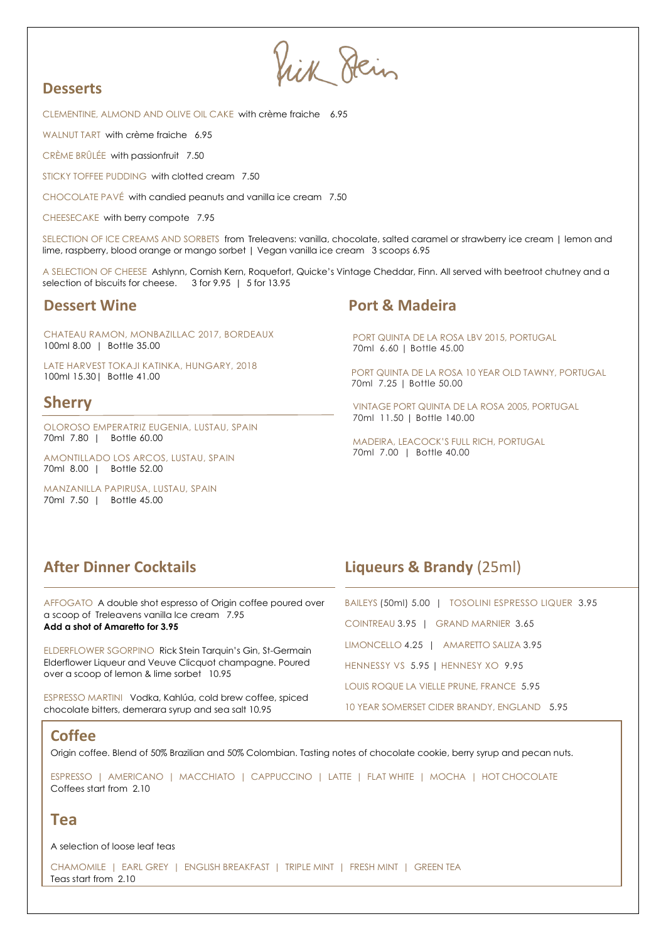lick Hein

# **Desserts**

CLEMENTINE, ALMOND AND OLIVE OIL CAKE with crème fraiche 6.95

WALNUT TART with crème fraiche 6.95

CRÈME BRÛLÉE with passionfruit 7.50

STICKY TOFFEE PUDDING with clotted cream 7.50

CHOCOLATE PAVÉ with candied peanuts and vanilla ice cream 7.50

CHEESECAKE with berry compote 7.95

SELECTION OF ICE CREAMS AND SORBETS from Treleavens: vanilla, chocolate, salted caramel or strawberry ice cream | lemon and lime, raspberry, blood orange or mango sorbet | Vegan vanilla ice cream 3 scoops 6.95

A SELECTION OF CHEESE Ashlynn, Cornish Kern, Roquefort, Quicke's Vintage Cheddar, Finn. All served with beetroot chutney and a selection of biscuits for cheese. 3 for 9.95 | 5 for 13.95

CHATEAU RAMON, MONBAZILLAC 2017, BORDEAUX 100ml 8.00 | Bottle 35.00

LATE HARVEST TOKAJI KATINKA, HUNGARY, 2018 100ml 15.30| Bottle 41.00

# **Sherry**

OLOROSO EMPERATRIZ EUGENIA, LUSTAU, SPAIN 70ml 7.80 | Bottle 60.00

AMONTILLADO LOS ARCOS, LUSTAU, SPAIN 70ml 8.00 | Bottle 52.00

MANZANILLA PAPIRUSA, LUSTAU, SPAIN 70ml 7.50 | Bottle 45.00

# **Dessert Wine Port & Madeira**

PORT QUINTA DE LA ROSA LBV 2015, PORTUGAL 70ml 6.60 | Bottle 45.00

PORT QUINTA DE LA ROSA 10 YEAR OLD TAWNY, PORTUGAL 70ml 7.25 | Bottle 50.00

VINTAGE PORT QUINTA DE LA ROSA 2005, PORTUGAL 70ml 11.50 | Bottle 140.00

MADEIRA, LEACOCK'S FULL RICH, PORTUGAL 70ml 7.00 | Bottle 40.00

AFFOGATO A double shot espresso of Origin coffee poured over a scoop of Treleavens vanilla Ice cream 7.95 **Add a shot of Amaretto for 3.95**

ELDERFLOWER SGORPINO Rick Stein Tarquin's Gin, St-Germain Elderflower Liqueur and Veuve Clicquot champagne. Poured over a scoop of lemon & lime sorbet 10.95

ESPRESSO MARTINI Vodka, Kahlúa, cold brew coffee, spiced chocolate bitters, demerara syrup and sea salt 10.95

# **After Dinner Cocktails Liqueurs & Brandy** (25ml)

| BAILEYS (50ml) 5.00   TOSOLINI ESPRESSO LIQUER 3.95 |  |
|-----------------------------------------------------|--|
| COINTREAU 3.95   GRAND MARNIER 3.65                 |  |
| LIMONCELLO 4.25   AMARETTO SALIZA 3.95              |  |
| HENNESSY VS 5.95   HENNESY XO 9.95                  |  |
| LOUIS ROQUE LA VIELLE PRUNE, FRANCE 5.95            |  |
| 10 YEAR SOMERSET CIDER BRANDY, ENGLAND 5.95         |  |

# **Coffee**

Origin coffee. Blend of 50% Brazilian and 50% Colombian. Tasting notes of chocolate cookie, berry syrup and pecan nuts.

ESPRESSO | AMERICANO | MACCHIATO | CAPPUCCINO | LATTE | FLAT WHITE | MOCHA | HOT CHOCOLATE Coffees start from 2.10

# **Tea**

A selection of loose leaf teas

CHAMOMILE | EARL GREY | ENGLISH BREAKFAST | TRIPLE MINT | FRESH MINT | GREEN TEA Teas start from 2.10